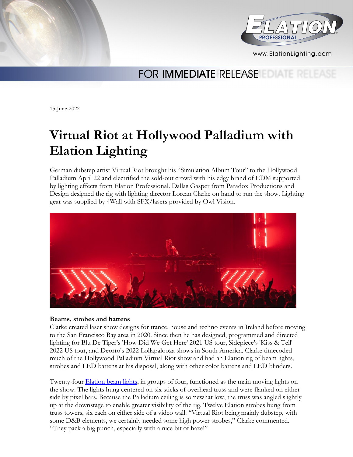



www.ElationLighting.com

## FOR **IMMEDIATE** RELEASE

15-June-2022

# **Virtual Riot at Hollywood Palladium with Elation Lighting**

German dubstep artist Virtual Riot brought his "Simulation Album Tour" to the Hollywood Palladium April 22 and electrified the sold-out crowd with his edgy brand of EDM supported by lighting effects from Elation Professional. Dallas Gasper from Paradox Productions and Design designed the rig with lighting director Lorcan Clarke on hand to run the show. Lighting gear was supplied by 4Wall with SFX/lasers provided by Owl Vision.



### **Beams, strobes and battens**

Clarke created laser show designs for trance, house and techno events in Ireland before moving to the San Francisco Bay area in 2020. Since then he has designed, programmed and directed lighting for Blu De Tiger's 'How Did We Get Here' 2021 US tour, Sidepiece's 'Kiss & Tell' 2022 US tour, and Deorro's 2022 Lollapalooza shows in South America. Clarke timecoded much of the Hollywood Palladium Virtual Riot show and had an Elation rig of beam lights, strobes and LED battens at his disposal, along with other color battens and LED blinders.

Twenty-four [Elation beam lights,](https://www.elationlighting.com/beam-hybrid) in groups of four, functioned as the main moving lights on the show. The lights hung centered on six sticks of overhead truss and were flanked on either side by pixel bars. Because the Palladium ceiling is somewhat low, the truss was angled slightly up at the downstage to enable greater visibility of the rig. Twelve **Elation strobes** hung from truss towers, six each on either side of a video wall. "Virtual Riot being mainly dubstep, with some D&B elements, we certainly needed some high power strobes," Clarke commented. "They pack a big punch, especially with a nice bit of haze!"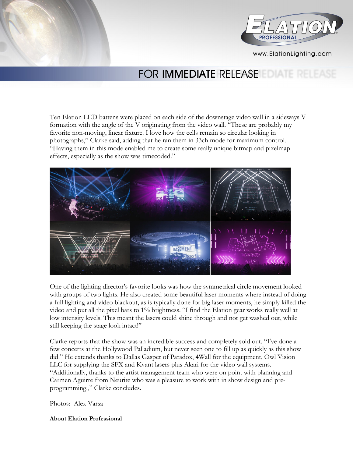



www.ElationLighting.com

## FOR **IMMEDIATE** RELEASE

Ten [Elation LED battens](https://www.elationlighting.com/bars-battens) were placed on each side of the downstage video wall in a sideways V formation with the angle of the V originating from the video wall. "These are probably my favorite non-moving, linear fixture. I love how the cells remain so circular looking in photographs," Clarke said, adding that he ran them in 33ch mode for maximum control. "Having them in this mode enabled me to create some really unique bitmap and pixelmap effects, especially as the show was timecoded."



One of the lighting director's favorite looks was how the symmetrical circle movement looked with groups of two lights. He also created some beautiful laser moments where instead of doing a full lighting and video blackout, as is typically done for big laser moments, he simply killed the video and put all the pixel bars to 1% brightness. "I find the Elation gear works really well at low intensity levels. This meant the lasers could shine through and not get washed out, while still keeping the stage look intact!"

Clarke reports that the show was an incredible success and completely sold out. "I've done a few concerts at the Hollywood Palladium, but never seen one to fill up as quickly as this show did!" He extends thanks to Dallas Gasper of Paradox, 4Wall for the equipment, Owl Vision LLC for supplying the SFX and Kvant lasers plus Akari for the video wall systems. "Additionally, thanks to the artist management team who were on point with planning and Carmen Aguirre from Neurite who was a pleasure to work with in show design and preprogramming.," Clarke concludes.

Photos: Alex Varsa

**About Elation Professional**